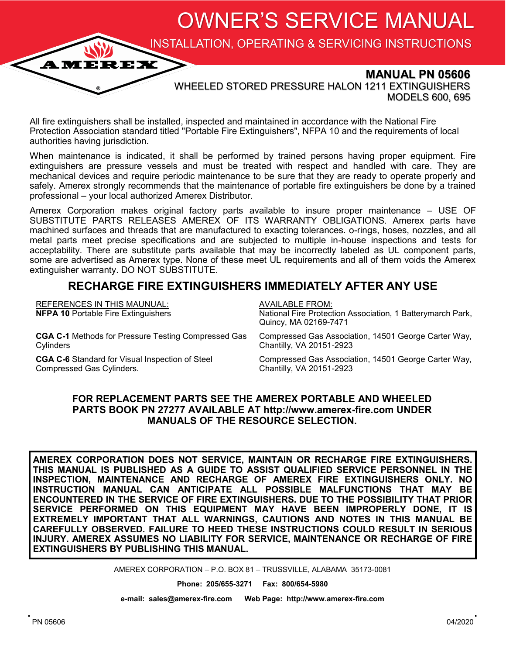OWNER'S SERVICE MANUAL

INSTALLATION, OPERATING & SERVICING INSTRUCTIONS

# **MANUAL PN 05606**

WHEELED STORED PRESSURE HALON 1211 EXTINGUISHERS MODELS 600, 695

All fire extinguishers shall be installed, inspected and maintained in accordance with the National Fire Protection Association standard titled "Portable Fire Extinguishers", NFPA 10 and the requirements of local authorities having jurisdiction.

**AMEREX** 

When maintenance is indicated, it shall be performed by trained persons having proper equipment. Fire extinguishers are pressure vessels and must be treated with respect and handled with care. They are mechanical devices and require periodic maintenance to be sure that they are ready to operate properly and safely. Amerex strongly recommends that the maintenance of portable fire extinguishers be done by a trained professional – your local authorized Amerex Distributor.

Amerex Corporation makes original factory parts available to insure proper maintenance – USE OF SUBSTITUTE PARTS RELEASES AMEREX OF ITS WARRANTY OBLIGATIONS. Amerex parts have machined surfaces and threads that are manufactured to exacting tolerances. o-rings, hoses, nozzles, and all metal parts meet precise specifications and are subjected to multiple in-house inspections and tests for acceptability. There are substitute parts available that may be incorrectly labeled as UL component parts, some are advertised as Amerex type. None of these meet UL requirements and all of them voids the Amerex extinguisher warranty. DO NOT SUBSTITUTE.

# **RECHARGE FIRE EXTINGUISHERS IMMEDIATELY AFTER ANY USE**

| <b>REFERENCES IN THIS MAUNUAL:</b><br><b>NFPA 10 Portable Fire Extinguishers</b> | AVAILABLE FROM:<br>National Fire Protection Association, 1 Batterymarch Park,<br>Quincy, MA 02169-7471 |
|----------------------------------------------------------------------------------|--------------------------------------------------------------------------------------------------------|
| <b>CGA C-1</b> Methods for Pressure Testing Compressed Gas                       | Compressed Gas Association, 14501 George Carter Way,                                                   |
| Cylinders                                                                        | Chantilly, VA 20151-2923                                                                               |
| <b>CGA C-6</b> Standard for Visual Inspection of Steel                           | Compressed Gas Association, 14501 George Carter Way,                                                   |
| Compressed Gas Cylinders.                                                        | Chantilly, VA 20151-2923                                                                               |

#### **FOR REPLACEMENT PARTS SEE THE AMEREX PORTABLE AND WHEELED PARTS BOOK PN 27277 AVAILABLE AT http://www.amerex-fire.com UNDER MANUALS OF THE RESOURCE SELECTION.**

**AMEREX CORPORATION DOES NOT SERVICE, MAINTAIN OR RECHARGE FIRE EXTINGUISHERS. THIS MANUAL IS PUBLISHED AS A GUIDE TO ASSIST QUALIFIED SERVICE PERSONNEL IN THE INSPECTION, MAINTENANCE AND RECHARGE OF AMEREX FIRE EXTINGUISHERS ONLY. NO INSTRUCTION MANUAL CAN ANTICIPATE ALL POSSIBLE MALFUNCTIONS THAT MAY BE ENCOUNTERED IN THE SERVICE OF FIRE EXTINGUISHERS. DUE TO THE POSSIBILITY THAT PRIOR SERVICE PERFORMED ON THIS EQUIPMENT MAY HAVE BEEN IMPROPERLY DONE, IT IS EXTREMELY IMPORTANT THAT ALL WARNINGS, CAUTIONS AND NOTES IN THIS MANUAL BE CAREFULLY OBSERVED. FAILURE TO HEED THESE INSTRUCTIONS COULD RESULT IN SERIOUS INJURY. AMEREX ASSUMES NO LIABILITY FOR SERVICE, MAINTENANCE OR RECHARGE OF FIRE EXTINGUISHERS BY PUBLISHING THIS MANUAL.**

AMEREX CORPORATION – P.O. BOX 81 – TRUSSVILLE, ALABAMA 35173-0081

**Phone: 205/655-3271 Fax: 800/654-5980**

**e-mail: sales@amerex-fire.com Web Page: http://www.amerex-fire.com**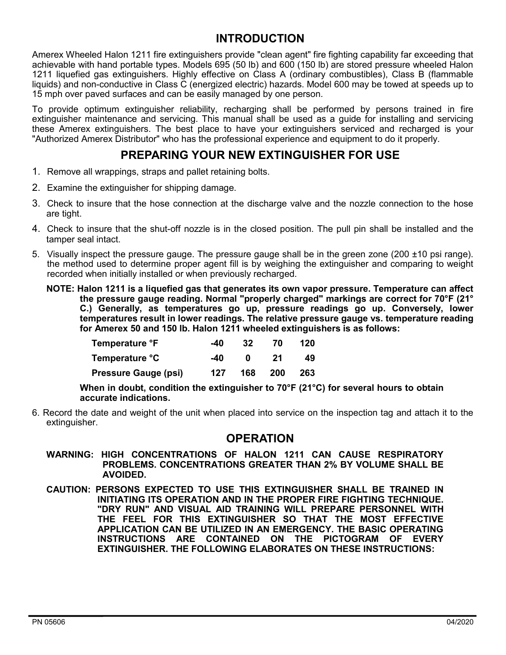# **INTRODUCTION**

Amerex Wheeled Halon 1211 fire extinguishers provide "clean agent" fire fighting capability far exceeding that achievable with hand portable types. Models 695 (50 lb) and 600 (150 lb) are stored pressure wheeled Halon 1211 liquefied gas extinguishers. Highly effective on Class A (ordinary combustibles), Class B (flammable liquids) and non-conductive in Class C (energized electric) hazards. Model 600 may be towed at speeds up to 15 mph over paved surfaces and can be easily managed by one person.

To provide optimum extinguisher reliability, recharging shall be performed by persons trained in fire extinguisher maintenance and servicing. This manual shall be used as a guide for installing and servicing these Amerex extinguishers. The best place to have your extinguishers serviced and recharged is your "Authorized Amerex Distributor" who has the professional experience and equipment to do it properly.

# **PREPARING YOUR NEW EXTINGUISHER FOR USE**

- 1. Remove all wrappings, straps and pallet retaining bolts.
- 2. Examine the extinguisher for shipping damage.
- 3. Check to insure that the hose connection at the discharge valve and the nozzle connection to the hose are tight.
- 4. Check to insure that the shut-off nozzle is in the closed position. The pull pin shall be installed and the tamper seal intact.
- 5. Visually inspect the pressure gauge. The pressure gauge shall be in the green zone (200 ±10 psi range). the method used to determine proper agent fill is by weighing the extinguisher and comparing to weight recorded when initially installed or when previously recharged.
	- **NOTE: Halon 1211 is a liquefied gas that generates its own vapor pressure. Temperature can affect the pressure gauge reading. Normal "properly charged" markings are correct for 70°F (21° C.) Generally, as temperatures go up, pressure readings go up. Conversely, lower temperatures result in lower readings. The relative pressure gauge vs. temperature reading for Amerex 50 and 150 lb. Halon 1211 wheeled extinguishers is as follows:**

| Temperature °F              | -40 | 32  | 70    | 120  |
|-----------------------------|-----|-----|-------|------|
| Temperature °C              | -40 | n   | 21    | 49   |
| <b>Pressure Gauge (psi)</b> | 127 | 168 | - 200 | -263 |

**When in doubt, condition the extinguisher to 70°F (21°C) for several hours to obtain accurate indications.**

6. Record the date and weight of the unit when placed into service on the inspection tag and attach it to the extinguisher.

### **OPERATION**

- **WARNING: HIGH CONCENTRATIONS OF HALON 1211 CAN CAUSE RESPIRATORY PROBLEMS. CONCENTRATIONS GREATER THAN 2% BY VOLUME SHALL BE AVOIDED.**
- **CAUTION: PERSONS EXPECTED TO USE THIS EXTINGUISHER SHALL BE TRAINED IN INITIATING ITS OPERATION AND IN THE PROPER FIRE FIGHTING TECHNIQUE. "DRY RUN" AND VISUAL AID TRAINING WILL PREPARE PERSONNEL WITH THE FEEL FOR THIS EXTINGUISHER SO THAT THE MOST EFFECTIVE APPLICATION CAN BE UTILIZED IN AN EMERGENCY. THE BASIC OPERATING INSTRUCTIONS ARE CONTAINED ON THE PICTOGRAM OF EVERY EXTINGUISHER. THE FOLLOWING ELABORATES ON THESE INSTRUCTIONS:**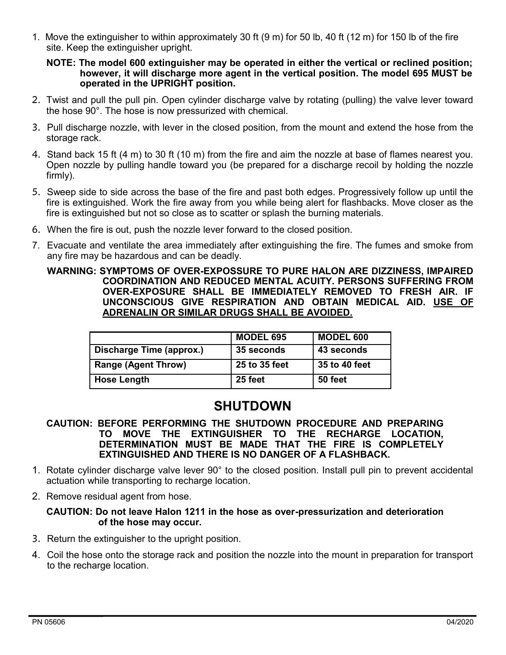1. Move the extinguisher to within approximately 30 ft (9 m) for 50 lb, 40 ft (12 m) for 150 lb of the fire site. Keep the extinguisher upright.

#### **NOTE: The model 600 extinguisher may be operated in either the vertical or reclined position; however, it will discharge more agent in the vertical position. The model 695 MUST be operated in the UPRIGHT position.**

- 2. Twist and pull the pull pin. Open cylinder discharge valve by rotating (pulling) the valve lever toward the hose 90°. The hose is now pressurized with chemical.
- 3. Pull discharge nozzle, with lever in the closed position, from the mount and extend the hose from the storage rack.
- 4. Stand back 15 ft (4 m) to 30 ft (10 m) from the fire and aim the nozzle at base of flames nearest you. Open nozzle by pulling handle toward you (be prepared for a discharge recoil by holding the nozzle firmly).
- 5. Sweep side to side across the base of the fire and past both edges. Progressively follow up until the fire is extinguished. Work the fire away from you while being alert for flashbacks. Move closer as the fire is extinguished but not so close as to scatter or splash the burning materials.
- 6. When the fire is out, push the nozzle lever forward to the closed position.
- 7. Evacuate and ventilate the area immediately after extinguishing the fire. The fumes and smoke from any fire may be hazardous and can be deadly.

#### **WARNING: SYMPTOMS OF OVER-EXPOSSURE TO PURE HALON ARE DIZZINESS, IMPAIRED COORDINATION AND REDUCED MENTAL ACUITY. PERSONS SUFFERING FROM OVER-EXPOSURE SHALL BE IMMEDIATELY REMOVED TO FRESH AIR. IF UNCONSCIOUS GIVE RESPIRATION AND OBTAIN MEDICAL AID. USE OF ADRENALIN OR SIMILAR DRUGS SHALL BE AVOIDED.**

|                            | <b>MODEL 695</b> | <b>MODEL 600</b> |
|----------------------------|------------------|------------------|
| Discharge Time (approx.)   | 35 seconds       | 43 seconds       |
| <b>Range (Agent Throw)</b> | 25 to 35 feet    | 35 to 40 feet    |
| <b>Hose Length</b>         | 25 feet          | 50 feet          |

# **SHUTDOWN**

- **CAUTION: BEFORE PERFORMING THE SHUTDOWN PROCEDURE AND PREPARING TO MOVE THE EXTINGUISHER TO THE RECHARGE LOCATION, DETERMINATION MUST BE MADE THAT THE FIRE IS COMPLETELY EXTINGUISHED AND THERE IS NO DANGER OF A FLASHBACK.**
- 1. Rotate cylinder discharge valve lever 90° to the closed position. Install pull pin to prevent accidental actuation while transporting to recharge location.
- 2. Remove residual agent from hose.

#### **CAUTION: Do not leave Halon 1211 in the hose as over-pressurization and deterioration of the hose may occur.**

- 3. Return the extinguisher to the upright position.
- 4. Coil the hose onto the storage rack and position the nozzle into the mount in preparation for transport to the recharge location.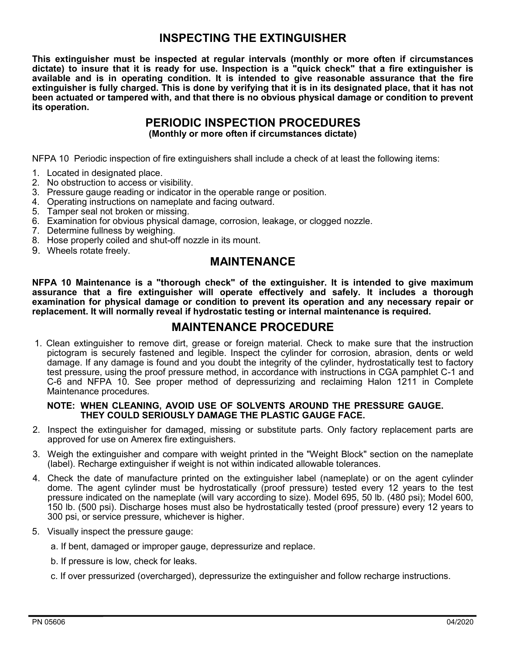# **INSPECTING THE EXTINGUISHER**

**This extinguisher must be inspected at regular intervals (monthly or more often if circumstances dictate) to insure that it is ready for use. Inspection is a "quick check" that a fire extinguisher is available and is in operating condition. It is intended to give reasonable assurance that the fire extinguisher is fully charged. This is done by verifying that it is in its designated place, that it has not been actuated or tampered with, and that there is no obvious physical damage or condition to prevent its operation.**

# **PERIODIC INSPECTION PROCEDURES**

**(Monthly or more often if circumstances dictate)**

NFPA 10 Periodic inspection of fire extinguishers shall include a check of at least the following items:

- 1. Located in designated place.
- 2. No obstruction to access or visibility.
- 3. Pressure gauge reading or indicator in the operable range or position.
- 4. Operating instructions on nameplate and facing outward.
- 5. Tamper seal not broken or missing.
- 6. Examination for obvious physical damage, corrosion, leakage, or clogged nozzle.
- 7. Determine fullness by weighing.
- 8. Hose properly coiled and shut-off nozzle in its mount.
- 9. Wheels rotate freely.

#### **MAINTENANCE**

**NFPA 10 Maintenance is a "thorough check" of the extinguisher. It is intended to give maximum assurance that a fire extinguisher will operate effectively and safely. It includes a thorough examination for physical damage or condition to prevent its operation and any necessary repair or replacement. It will normally reveal if hydrostatic testing or internal maintenance is required.**

# **MAINTENANCE PROCEDURE**

1. Clean extinguisher to remove dirt, grease or foreign material. Check to make sure that the instruction pictogram is securely fastened and legible. Inspect the cylinder for corrosion, abrasion, dents or weld damage. If any damage is found and you doubt the integrity of the cylinder, hydrostatically test to factory test pressure, using the proof pressure method, in accordance with instructions in CGA pamphlet C-1 and C-6 and NFPA 10. See proper method of depressurizing and reclaiming Halon 1211 in Complete Maintenance procedures.

#### **NOTE: WHEN CLEANING, AVOID USE OF SOLVENTS AROUND THE PRESSURE GAUGE. THEY COULD SERIOUSLY DAMAGE THE PLASTIC GAUGE FACE.**

- 2. Inspect the extinguisher for damaged, missing or substitute parts. Only factory replacement parts are approved for use on Amerex fire extinguishers.
- 3. Weigh the extinguisher and compare with weight printed in the "Weight Block" section on the nameplate (label). Recharge extinguisher if weight is not within indicated allowable tolerances.
- 4. Check the date of manufacture printed on the extinguisher label (nameplate) or on the agent cylinder dome. The agent cylinder must be hydrostatically (proof pressure) tested every 12 years to the test pressure indicated on the nameplate (will vary according to size). Model 695, 50 lb. (480 psi); Model 600, 150 lb. (500 psi). Discharge hoses must also be hydrostatically tested (proof pressure) every 12 years to 300 psi, or service pressure, whichever is higher.
- 5. Visually inspect the pressure gauge:
	- a. If bent, damaged or improper gauge, depressurize and replace.
	- b. If pressure is low, check for leaks.
	- c. If over pressurized (overcharged), depressurize the extinguisher and follow recharge instructions.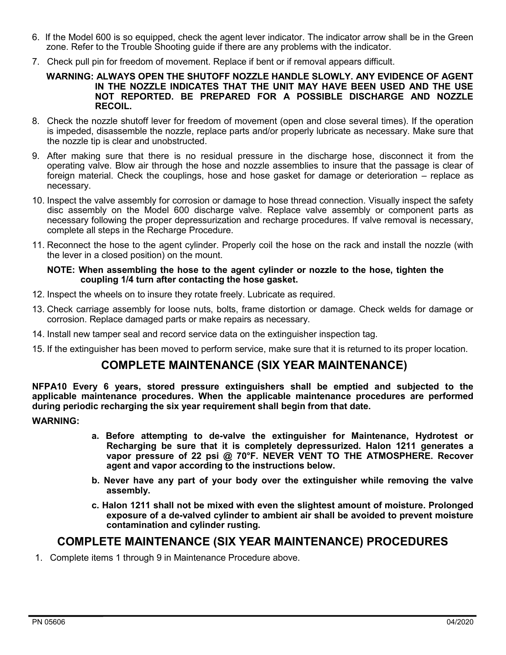- 6. If the Model 600 is so equipped, check the agent lever indicator. The indicator arrow shall be in the Green zone. Refer to the Trouble Shooting guide if there are any problems with the indicator.
- 7. Check pull pin for freedom of movement. Replace if bent or if removal appears difficult.

#### **WARNING: ALWAYS OPEN THE SHUTOFF NOZZLE HANDLE SLOWLY. ANY EVIDENCE OF AGENT IN THE NOZZLE INDICATES THAT THE UNIT MAY HAVE BEEN USED AND THE USE NOT REPORTED. BE PREPARED FOR A POSSIBLE DISCHARGE AND NOZZLE RECOIL.**

- 8. Check the nozzle shutoff lever for freedom of movement (open and close several times). If the operation is impeded, disassemble the nozzle, replace parts and/or properly lubricate as necessary. Make sure that the nozzle tip is clear and unobstructed.
- 9. After making sure that there is no residual pressure in the discharge hose, disconnect it from the operating valve. Blow air through the hose and nozzle assemblies to insure that the passage is clear of foreign material. Check the couplings, hose and hose gasket for damage or deterioration – replace as necessary.
- 10. Inspect the valve assembly for corrosion or damage to hose thread connection. Visually inspect the safety disc assembly on the Model 600 discharge valve. Replace valve assembly or component parts as necessary following the proper depressurization and recharge procedures. If valve removal is necessary, complete all steps in the Recharge Procedure.
- 11. Reconnect the hose to the agent cylinder. Properly coil the hose on the rack and install the nozzle (with the lever in a closed position) on the mount.

#### **NOTE: When assembling the hose to the agent cylinder or nozzle to the hose, tighten the coupling 1/4 turn after contacting the hose gasket.**

- 12. Inspect the wheels on to insure they rotate freely. Lubricate as required.
- 13. Check carriage assembly for loose nuts, bolts, frame distortion or damage. Check welds for damage or corrosion. Replace damaged parts or make repairs as necessary.
- 14. Install new tamper seal and record service data on the extinguisher inspection tag.
- 15. If the extinguisher has been moved to perform service, make sure that it is returned to its proper location.

### **COMPLETE MAINTENANCE (SIX YEAR MAINTENANCE)**

**NFPA10 Every 6 years, stored pressure extinguishers shall be emptied and subjected to the applicable maintenance procedures. When the applicable maintenance procedures are performed during periodic recharging the six year requirement shall begin from that date.**

#### **WARNING:**

- **a. Before attempting to de-valve the extinguisher for Maintenance, Hydrotest or Recharging be sure that it is completely depressurized. Halon 1211 generates a vapor pressure of 22 psi @ 70°F. NEVER VENT TO THE ATMOSPHERE. Recover agent and vapor according to the instructions below.**
- **b. Never have any part of your body over the extinguisher while removing the valve assembly.**
- **c. Halon 1211 shall not be mixed with even the slightest amount of moisture. Prolonged exposure of a de-valved cylinder to ambient air shall be avoided to prevent moisture contamination and cylinder rusting.**

### **COMPLETE MAINTENANCE (SIX YEAR MAINTENANCE) PROCEDURES**

1. Complete items 1 through 9 in Maintenance Procedure above.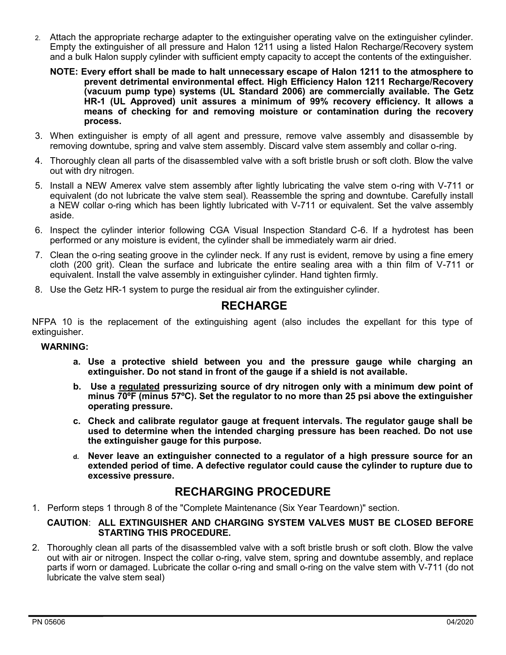- 2. Attach the appropriate recharge adapter to the extinguisher operating valve on the extinguisher cylinder. Empty the extinguisher of all pressure and Halon 1211 using a listed Halon Recharge/Recovery system and a bulk Halon supply cylinder with sufficient empty capacity to accept the contents of the extinguisher.
	- **NOTE: Every effort shall be made to halt unnecessary escape of Halon 1211 to the atmosphere to prevent detrimental environmental effect. High Efficiency Halon 1211 Recharge/Recovery (vacuum pump type) systems (UL Standard 2006) are commercially available. The Getz HR-1 (UL Approved) unit assures a minimum of 99% recovery efficiency. It allows a means of checking for and removing moisture or contamination during the recovery process.**
- 3. When extinguisher is empty of all agent and pressure, remove valve assembly and disassemble by removing downtube, spring and valve stem assembly. Discard valve stem assembly and collar o-ring.
- 4. Thoroughly clean all parts of the disassembled valve with a soft bristle brush or soft cloth. Blow the valve out with dry nitrogen.
- 5. Install a NEW Amerex valve stem assembly after lightly lubricating the valve stem o-ring with V-711 or equivalent (do not lubricate the valve stem seal). Reassemble the spring and downtube. Carefully install a NEW collar o-ring which has been lightly lubricated with V-711 or equivalent. Set the valve assembly aside.
- 6. Inspect the cylinder interior following CGA Visual Inspection Standard C-6. If a hydrotest has been performed or any moisture is evident, the cylinder shall be immediately warm air dried.
- 7. Clean the o-ring seating groove in the cylinder neck. If any rust is evident, remove by using a fine emery cloth (200 grit). Clean the surface and lubricate the entire sealing area with a thin film of V-711 or equivalent. Install the valve assembly in extinguisher cylinder. Hand tighten firmly.
- 8. Use the Getz HR-1 system to purge the residual air from the extinguisher cylinder.

### **RECHARGE**

NFPA 10 is the replacement of the extinguishing agent (also includes the expellant for this type of extinguisher.

#### **WARNING:**

- **a. Use a protective shield between you and the pressure gauge while charging an extinguisher. Do not stand in front of the gauge if a shield is not available.**
- **b. Use a regulated pressurizing source of dry nitrogen only with a minimum dew point of minus 70ºF (minus 57ºC). Set the regulator to no more than 25 psi above the extinguisher operating pressure.**
- **c. Check and calibrate regulator gauge at frequent intervals. The regulator gauge shall be used to determine when the intended charging pressure has been reached. Do not use the extinguisher gauge for this purpose.**
- **d. Never leave an extinguisher connected to a regulator of a high pressure source for an extended period of time. A defective regulator could cause the cylinder to rupture due to excessive pressure.**

### **RECHARGING PROCEDURE**

1. Perform steps 1 through 8 of the "Complete Maintenance (Six Year Teardown)" section.

#### **CAUTION**: **ALL EXTINGUISHER AND CHARGING SYSTEM VALVES MUST BE CLOSED BEFORE STARTING THIS PROCEDURE.**

2. Thoroughly clean all parts of the disassembled valve with a soft bristle brush or soft cloth. Blow the valve out with air or nitrogen. Inspect the collar o-ring, valve stem, spring and downtube assembly, and replace parts if worn or damaged. Lubricate the collar o-ring and small o-ring on the valve stem with V-711 (do not lubricate the valve stem seal)